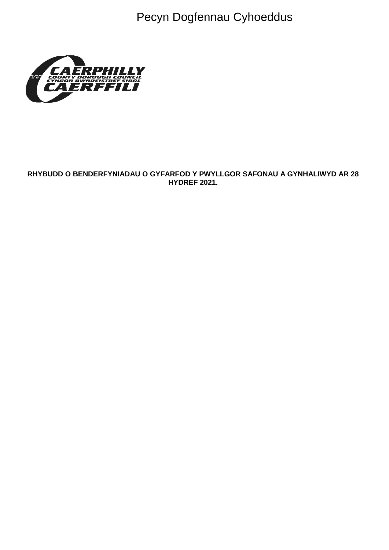Pecyn Dogfennau Cyhoeddus



## RHYBUDD O BENDERFYNIADAU O GYFARFOD Y PWYLLGOR SAFONAU A GYNHALIWYD AR 28 **HYDREF 2021.**